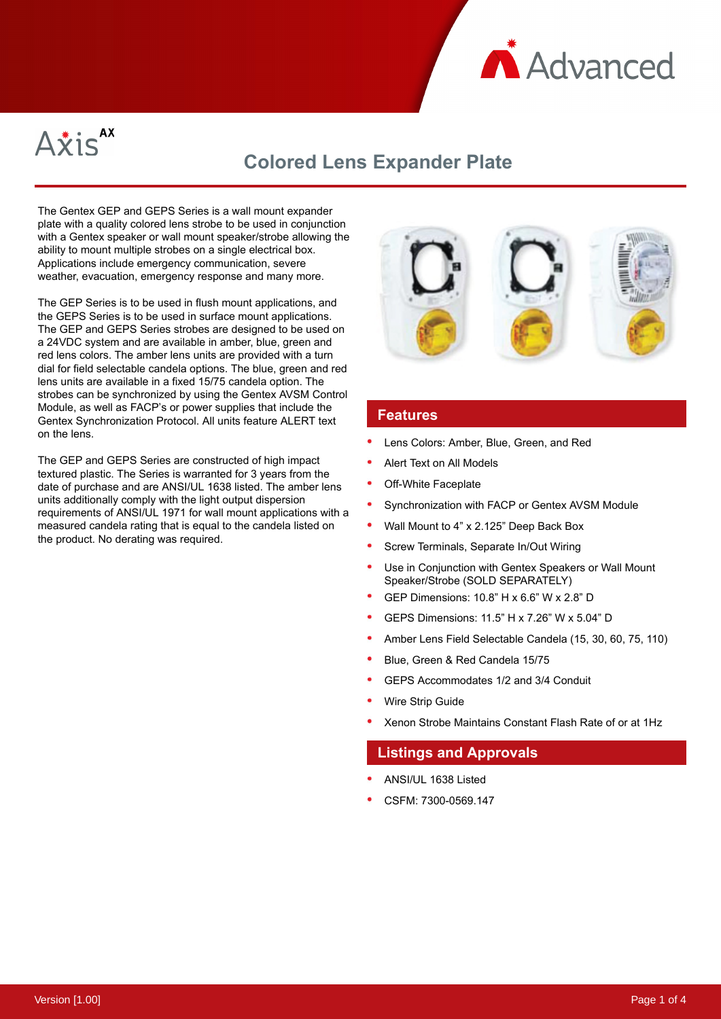



# **Colored Lens Expander Plate**

The Gentex GEP and GEPS Series is a wall mount expander plate with a quality colored lens strobe to be used in conjunction with a Gentex speaker or wall mount speaker/strobe allowing the ability to mount multiple strobes on a single electrical box. Applications include emergency communication, severe weather, evacuation, emergency response and many more.

The GEP Series is to be used in flush mount applications, and the GEPS Series is to be used in surface mount applications. The GEP and GEPS Series strobes are designed to be used on a 24VDC system and are available in amber, blue, green and red lens colors. The amber lens units are provided with a turn dial for field selectable candela options. The blue, green and red lens units are available in a fixed 15/75 candela option. The strobes can be synchronized by using the Gentex AVSM Control Module, as well as FACP's or power supplies that include the Gentex Synchronization Protocol. All units feature ALERT text on the lens.

The GEP and GEPS Series are constructed of high impact textured plastic. The Series is warranted for 3 years from the date of purchase and are ANSI/UL 1638 listed. The amber lens units additionally comply with the light output dispersion requirements of ANSI/UL 1971 for wall mount applications with a measured candela rating that is equal to the candela listed on the product. No derating was required.



#### **Features**

- Lens Colors: Amber, Blue, Green, and Red
- Alert Text on All Models
- Off-White Faceplate
- Synchronization with FACP or Gentex AVSM Module
- Wall Mount to 4" x 2.125" Deep Back Box
- Screw Terminals, Separate In/Out Wiring
- Use in Conjunction with Gentex Speakers or Wall Mount Speaker/Strobe (SOLD SEPARATELY)
- GEP Dimensions: 10.8" H x 6.6" W x 2.8" D
- GEPS Dimensions: 11.5" H x 7.26" W x 5.04" D
- Amber Lens Field Selectable Candela (15, 30, 60, 75, 110)
- Blue, Green & Red Candela 15/75
- GEPS Accommodates 1/2 and 3/4 Conduit
- Wire Strip Guide
- Xenon Strobe Maintains Constant Flash Rate of or at 1Hz

#### **Listings and Approvals**

- ANSI/UL 1638 Listed
- CSFM: 7300-0569.147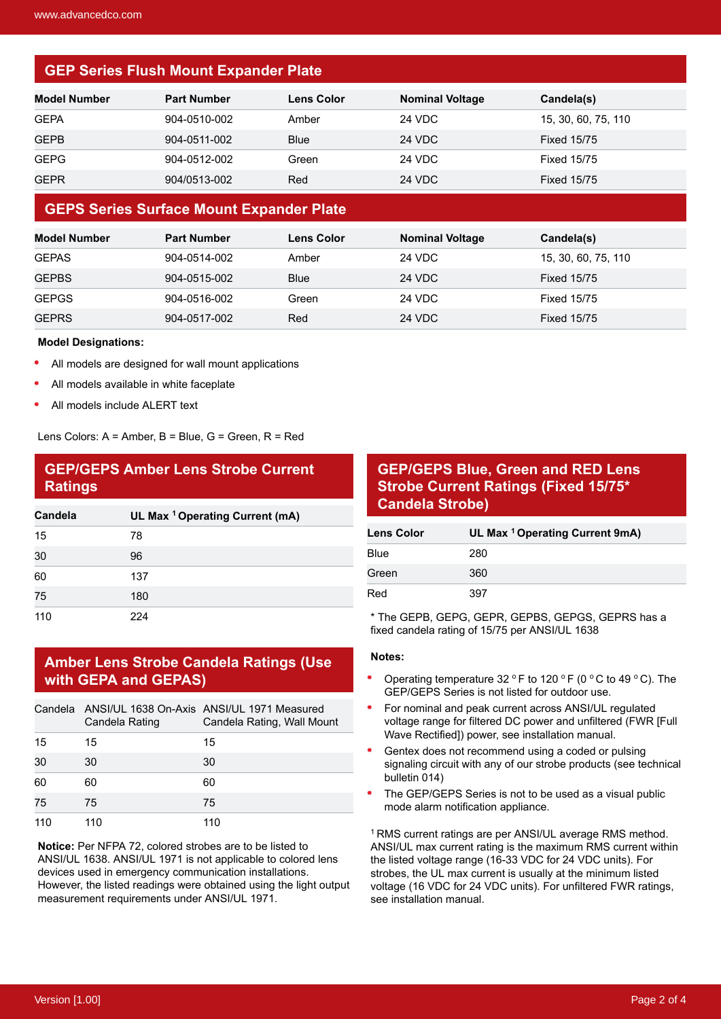## **GEP Series Flush Mount Expander Plate**

| <b>Model Number</b> | <b>Part Number</b> | <b>Lens Color</b> | <b>Nominal Voltage</b> | Candela(s)          |
|---------------------|--------------------|-------------------|------------------------|---------------------|
| <b>GEPA</b>         | 904-0510-002       | Amber             | 24 VDC                 | 15, 30, 60, 75, 110 |
| GEPB                | 904-0511-002       | <b>Blue</b>       | <b>24 VDC</b>          | <b>Fixed 15/75</b>  |
| <b>GEPG</b>         | 904-0512-002       | Green             | 24 VDC                 | <b>Fixed 15/75</b>  |
| GEPR                | 904/0513-002       | Red               | <b>24 VDC</b>          | <b>Fixed 15/75</b>  |

#### **GEPS Series Surface Mount Expander Plate**

| Model Number | <b>Part Number</b> | <b>Lens Color</b> | <b>Nominal Voltage</b> | Candela(s)          |
|--------------|--------------------|-------------------|------------------------|---------------------|
| <b>GEPAS</b> | 904-0514-002       | Amber             | 24 VDC                 | 15, 30, 60, 75, 110 |
| <b>GEPBS</b> | 904-0515-002       | <b>Blue</b>       | 24 VDC                 | <b>Fixed 15/75</b>  |
| <b>GEPGS</b> | 904-0516-002       | Green             | 24 VDC                 | <b>Fixed 15/75</b>  |
| <b>GEPRS</b> | 904-0517-002       | Red               | <b>24 VDC</b>          | <b>Fixed 15/75</b>  |

#### **Model Designations:**

- All models are designed for wall mount applications
- All models available in white faceplate
- All models include ALERT text

Lens Colors: A = Amber, B = Blue, G = Green, R = Red

## **GEP/GEPS Amber Lens Strobe Current Ratings**

| Candela | UL Max <sup>1</sup> Operating Current (mA) |
|---------|--------------------------------------------|
| 15      | 78                                         |
| 30      | 96                                         |
| 60      | 137                                        |
| 75      | 180                                        |
| 110     | 224                                        |

### **Amber Lens Strobe Candela Ratings (Use with GEPA and GEPAS)**

|     | Candela Rating | Candela ANSI/UL 1638 On-Axis ANSI/UL 1971 Measured<br>Candela Rating, Wall Mount |
|-----|----------------|----------------------------------------------------------------------------------|
| 15  | 15             | 15                                                                               |
| 30  | 30             | 30                                                                               |
| 60  | 60             | 60                                                                               |
| 75  | 75             | 75                                                                               |
| 110 | 110            | 110                                                                              |

**Notice:** Per NFPA 72, colored strobes are to be listed to ANSI/UL 1638. ANSI/UL 1971 is not applicable to colored lens devices used in emergency communication installations. However, the listed readings were obtained using the light output measurement requirements under ANSI/UL 1971.

## **GEP/GEPS Blue, Green and RED Lens Strobe Current Ratings (Fixed 15/75\* Candela Strobe)**

| <b>Lens Color</b> | UL Max <sup>1</sup> Operating Current 9mA) |
|-------------------|--------------------------------------------|
| <b>Blue</b>       | 280                                        |
| Green             | 360                                        |
| Red               | 397                                        |

\* The GEPB, GEPG, GEPR, GEPBS, GEPGS, GEPRS has a fixed candela rating of 15/75 per ANSI/UL 1638

#### **Notes:**

- Operating temperature 32  $\circ$  F to 120  $\circ$  F (0  $\circ$  C to 49  $\circ$  C). The GEP/GEPS Series is not listed for outdoor use.
- For nominal and peak current across ANSI/UL regulated voltage range for filtered DC power and unfiltered (FWR [Full Wave Rectified]) power, see installation manual.
- Gentex does not recommend using a coded or pulsing signaling circuit with any of our strobe products (see technical bulletin 014)
- The GEP/GEPS Series is not to be used as a visual public mode alarm notification appliance.

<sup>1</sup> RMS current ratings are per ANSI/UL average RMS method. ANSI/UL max current rating is the maximum RMS current within the listed voltage range (16-33 VDC for 24 VDC units). For strobes, the UL max current is usually at the minimum listed voltage (16 VDC for 24 VDC units). For unfiltered FWR ratings, see installation manual.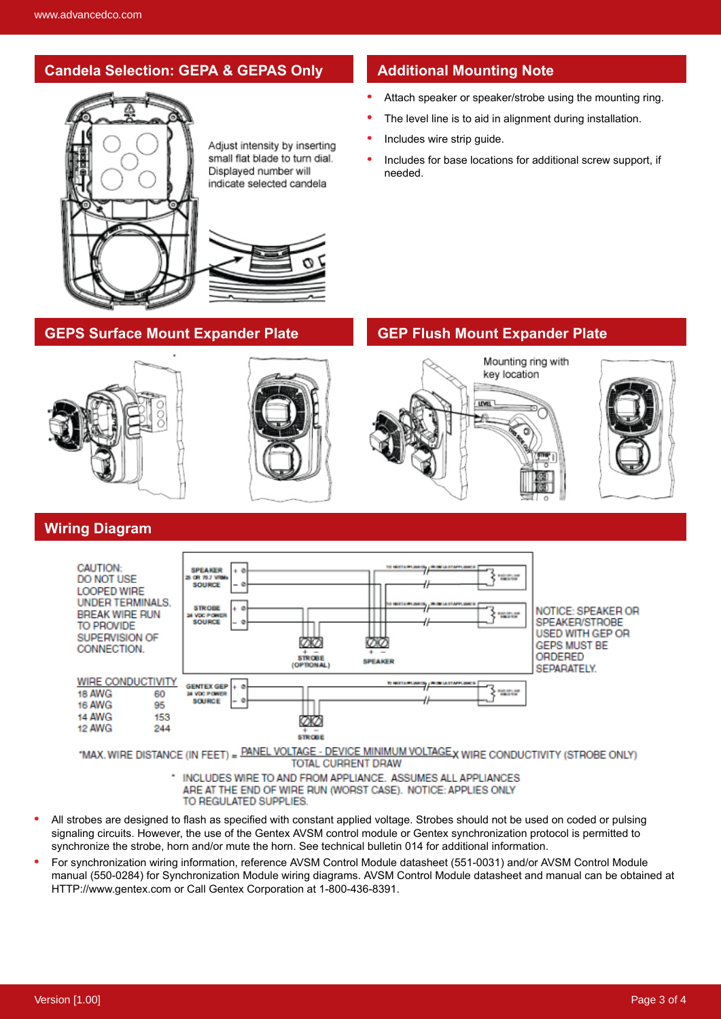## **Candela Selection: GEPA & GEPAS Only Additional Mounting Note**



Adjust intensity by inserting small flat blade to turn dial. Displayed number will indicate selected candela

- Attach speaker or speaker/strobe using the mounting ring.
- The level line is to aid in alignment during installation.
- Includes wire strip guide.
- Includes for base locations for additional screw support, if needed.

## **GEPS Surface Mount Expander Plate GEP Flush Mount Expander Plate**



### **Wiring Diagram**



**TOTAL CURRENT DRAW** 

- \* INCLUDES WIRE TO AND FROM APPLIANCE. ASSUMES ALL APPLIANCES ARE AT THE END OF WIRE RUN (WORST CASE). NOTICE: APPLIES ONLY TO REGULATED SUPPLIES
- All strobes are designed to flash as specified with constant applied voltage. Strobes should not be used on coded or pulsing signaling circuits. However, the use of the Gentex AVSM control module or Gentex synchronization protocol is permitted to synchronize the strobe, horn and/or mute the horn. See technical bulletin 014 for additional information.
- $\bullet$ For synchronization wiring information, reference AVSM Control Module datasheet (551-0031) and/or AVSM Control Module manual (550-0284) for Synchronization Module wiring diagrams. AVSM Control Module datasheet and manual can be obtained at HTTP://www.gentex.com or Call Gentex Corporation at 1-800-436-8391.